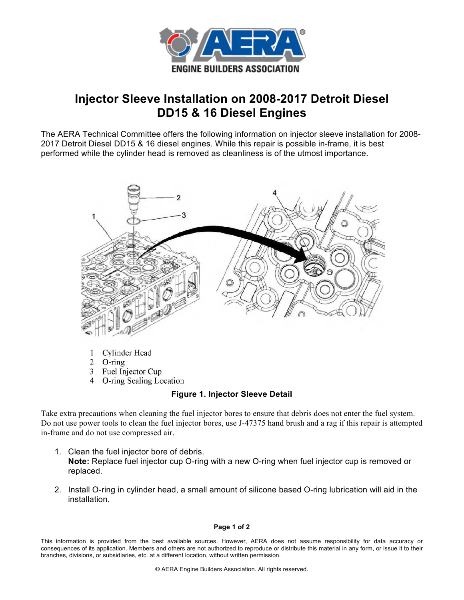

## **Injector Sleeve Installation on 2008-2017 Detroit Diesel DD15 & 16 Diesel Engines**

The AERA Technical Committee offers the following information on injector sleeve installation for 2008- 2017 Detroit Diesel DD15 & 16 diesel engines. While this repair is possible in-frame, it is best performed while the cylinder head is removed as cleanliness is of the utmost importance.



- 1. Cylinder Head
- 2.  $O\text{-ring}$
- 3. Fuel Injector Cup
- 4. O-ring Sealing Location

## **Figure 1. Injector Sleeve Detail**

Take extra precautions when cleaning the fuel injector bores to ensure that debris does not enter the fuel system. Do not use power tools to clean the fuel injector bores, use J-47375 hand brush and a rag if this repair is attempted in-frame and do not use compressed air.

- 1. Clean the fuel injector bore of debris. **Note:** Replace fuel injector cup O-ring with a new O-ring when fuel injector cup is removed or replaced.
- 2. Install O-ring in cylinder head, a small amount of silicone based O-ring lubrication will aid in the installation.

## **Page 1 of 2**

This information is provided from the best available sources. However, AERA does not assume responsibility for data accuracy or consequences of its application. Members and others are not authorized to reproduce or distribute this material in any form, or issue it to their branches, divisions, or subsidiaries, etc. at a different location, without written permission.